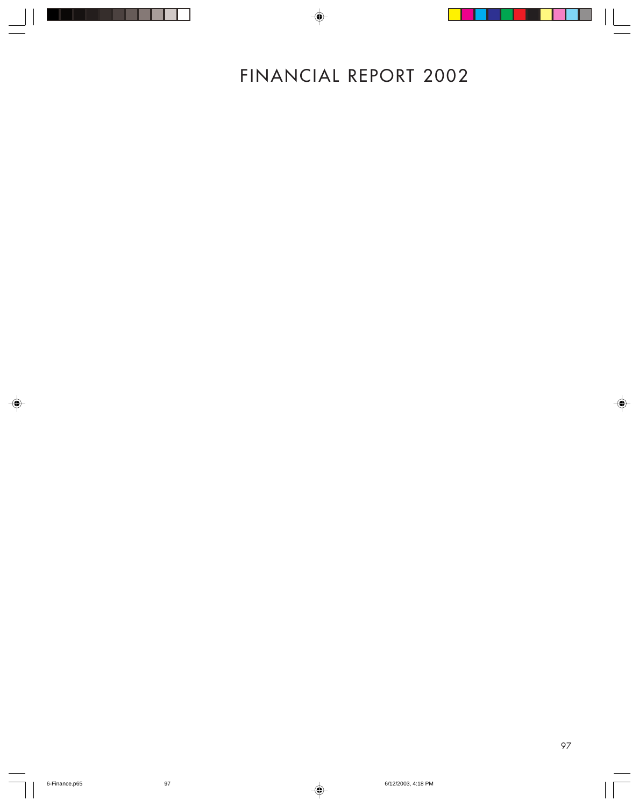# FINANCIAL REPORT 2002

 $\Rightarrow$ 

◈

◈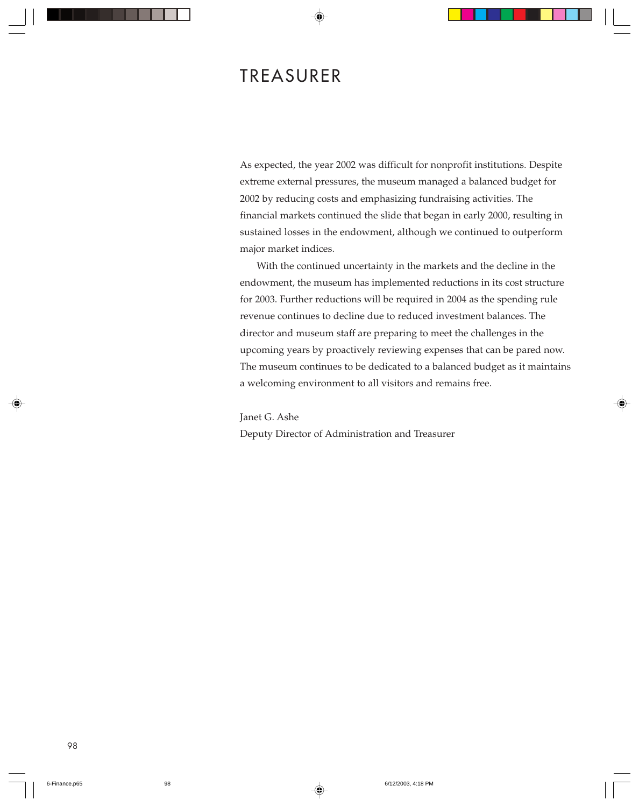# TREASURER

As expected, the year 2002 was difficult for nonprofit institutions. Despite extreme external pressures, the museum managed a balanced budget for 2002 by reducing costs and emphasizing fundraising activities. The financial markets continued the slide that began in early 2000, resulting in sustained losses in the endowment, although we continued to outperform major market indices.

With the continued uncertainty in the markets and the decline in the endowment, the museum has implemented reductions in its cost structure for 2003. Further reductions will be required in 2004 as the spending rule revenue continues to decline due to reduced investment balances. The director and museum staff are preparing to meet the challenges in the upcoming years by proactively reviewing expenses that can be pared now. The museum continues to be dedicated to a balanced budget as it maintains a welcoming environment to all visitors and remains free.

Janet G. Ashe

Deputy Director of Administration and Treasurer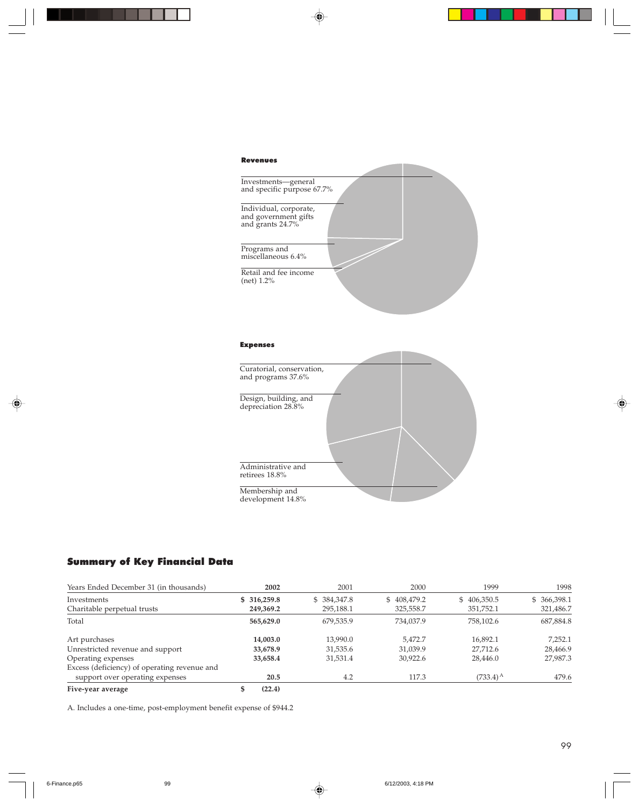

#### Expenses



# Summary of Key Financial Data

| Years Ended December 31 (in thousands)       | 2002         | 2001        | 2000        | 1999              | 1998         |
|----------------------------------------------|--------------|-------------|-------------|-------------------|--------------|
| Investments                                  | \$ 316,259.8 | \$384,347.8 | \$408,479.2 | \$406,350.5       | \$ 366,398.1 |
| Charitable perpetual trusts                  | 249,369.2    | 295,188.1   | 325,558.7   | 351,752.1         | 321,486.7    |
| Total                                        | 565,629.0    | 679,535.9   | 734,037.9   | 758,102.6         | 687,884.8    |
| Art purchases                                | 14,003.0     | 13,990.0    | 5.472.7     | 16.892.1          | 7,252.1      |
| Unrestricted revenue and support             | 33,678.9     | 31,535.6    | 31.039.9    | 27,712.6          | 28,466.9     |
| Operating expenses                           | 33,658.4     | 31,531.4    | 30,922.6    | 28,446.0          | 27,987.3     |
| Excess (deficiency) of operating revenue and |              |             |             |                   |              |
| support over operating expenses              | 20.5         | 4.2         | 117.3       | $(733.4)^{\rm A}$ | 479.6        |
| Five-year average                            | (22.4)       |             |             |                   |              |

A. Includes a one-time, post-employment benefit expense of \$944.2

♠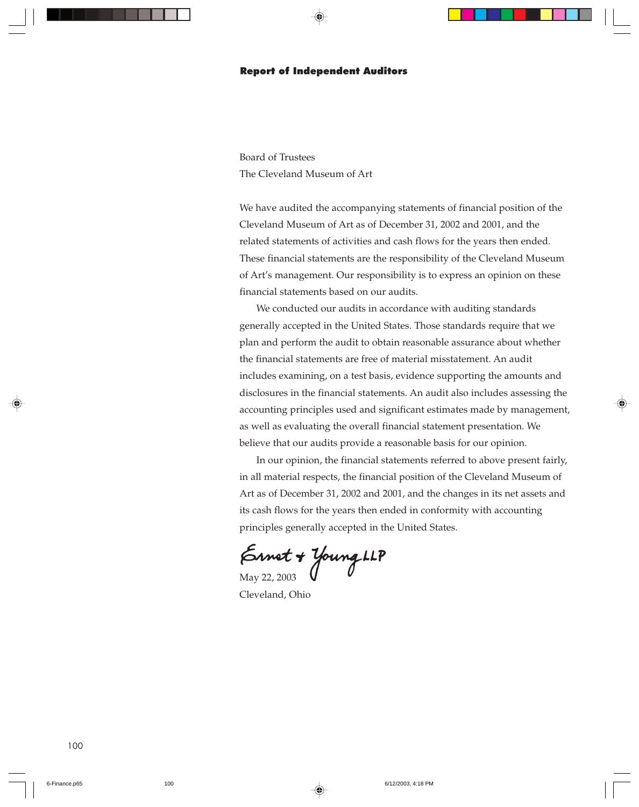### Report of Independent Auditors

Board of Trustees The Cleveland Museum of Art

We have audited the accompanying statements of financial position of the Cleveland Museum of Art as of December 31, 2002 and 2001, and the related statements of activities and cash flows for the years then ended. These financial statements are the responsibility of the Cleveland Museum of Art's management. Our responsibility is to express an opinion on these financial statements based on our audits.

We conducted our audits in accordance with auditing standards generally accepted in the United States. Those standards require that we plan and perform the audit to obtain reasonable assurance about whether the financial statements are free of material misstatement. An audit includes examining, on a test basis, evidence supporting the amounts and disclosures in the financial statements. An audit also includes assessing the accounting principles used and significant estimates made by management, as well as evaluating the overall financial statement presentation. We believe that our audits provide a reasonable basis for our opinion.

In our opinion, the financial statements referred to above present fairly, in all material respects, the financial position of the Cleveland Museum of Art as of December 31, 2002 and 2001, and the changes in its net assets and its cash flows for the years then ended in conformity with accounting principles generally accepted in the United States.

 $\mathcal{E}_{\text{May 22, 2003}}$  Young LLP

Cleveland, Ohio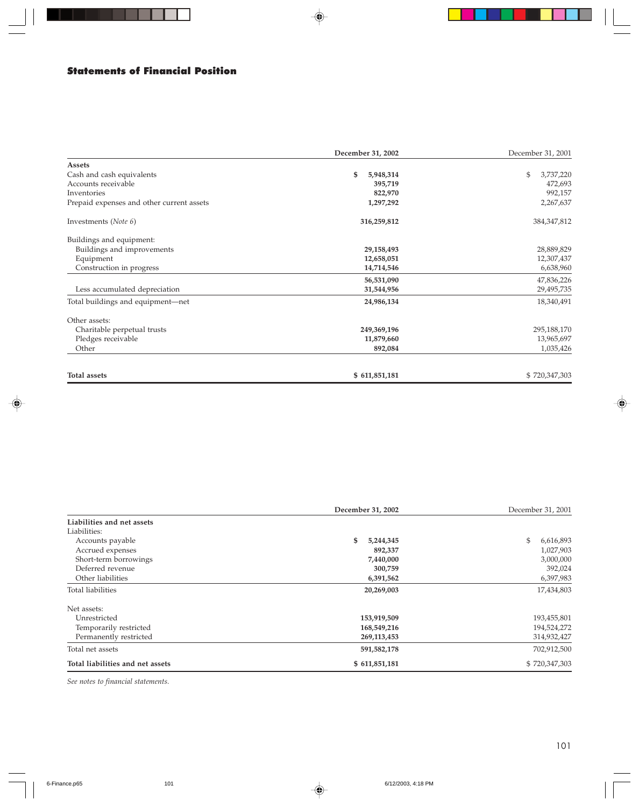# Statements of Financial Position

. . .

|                                           | December 31, 2002 | December 31, 2001 |
|-------------------------------------------|-------------------|-------------------|
| Assets                                    |                   |                   |
| Cash and cash equivalents                 | \$<br>5,948,314   | 3,737,220<br>\$   |
| Accounts receivable                       | 395,719           | 472,693           |
| Inventories                               | 822,970           | 992,157           |
| Prepaid expenses and other current assets | 1,297,292         | 2,267,637         |
| Investments (Note 6)                      | 316,259,812       | 384, 347, 812     |
| Buildings and equipment:                  |                   |                   |
| Buildings and improvements                | 29,158,493        | 28,889,829        |
| Equipment                                 | 12,658,051        | 12,307,437        |
| Construction in progress                  | 14,714,546        | 6,638,960         |
|                                           | 56,531,090        | 47,836,226        |
| Less accumulated depreciation             | 31,544,956        | 29,495,735        |
| Total buildings and equipment-net         | 24,986,134        | 18,340,491        |
| Other assets:                             |                   |                   |
| Charitable perpetual trusts               | 249,369,196       | 295,188,170       |
| Pledges receivable                        | 11,879,660        | 13,965,697        |
| Other                                     | 892,084           | 1,035,426         |
| Total assets                              | \$611,851,181     | \$720,347,303     |

◈

|                                  | December 31, 2002 |                 |
|----------------------------------|-------------------|-----------------|
| Liabilities and net assets       |                   |                 |
| Liabilities:                     |                   |                 |
| Accounts payable                 | \$<br>5,244,345   | \$<br>6,616,893 |
| Accrued expenses                 | 892,337           | 1,027,903       |
| Short-term borrowings            | 7,440,000         | 3,000,000       |
| Deferred revenue                 | 300,759           | 392,024         |
| Other liabilities                | 6,391,562         | 6,397,983       |
| Total liabilities                | 20,269,003        | 17,434,803      |
| Net assets:                      |                   |                 |
| Unrestricted                     | 153,919,509       | 193,455,801     |
| Temporarily restricted           | 168,549,216       | 194,524,272     |
| Permanently restricted           | 269, 113, 453     | 314,932,427     |
| Total net assets                 | 591,582,178       | 702,912,500     |
| Total liabilities and net assets | \$611,851,181     | \$720,347,303   |

*See notes to financial statements.*

⊕

♠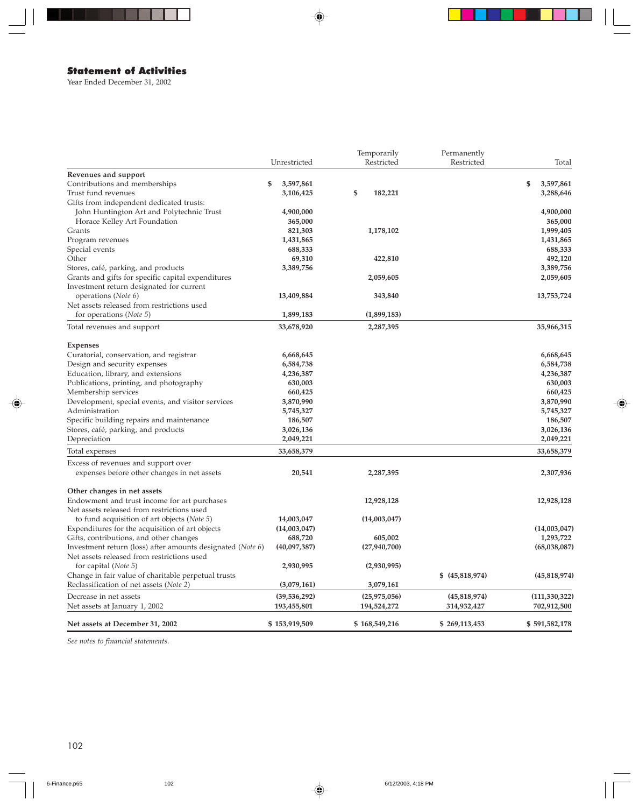# Statement of Activities

Year Ended December 31, 2002

|                                                                                                |                 | Temporarily    | Permanently     |                 |
|------------------------------------------------------------------------------------------------|-----------------|----------------|-----------------|-----------------|
|                                                                                                | Unrestricted    | Restricted     | Restricted      | Total           |
| Revenues and support                                                                           |                 |                |                 |                 |
| Contributions and memberships                                                                  | 3,597,861<br>\$ |                |                 | \$<br>3,597,861 |
| Trust fund revenues                                                                            | 3,106,425       | \$<br>182,221  |                 | 3,288,646       |
| Gifts from independent dedicated trusts:                                                       |                 |                |                 |                 |
| John Huntington Art and Polytechnic Trust                                                      | 4,900,000       |                |                 | 4,900,000       |
| Horace Kelley Art Foundation                                                                   | 365,000         |                |                 | 365,000         |
| Grants                                                                                         | 821,303         | 1,178,102      |                 | 1,999,405       |
| Program revenues                                                                               | 1,431,865       |                |                 | 1,431,865       |
| Special events                                                                                 | 688,333         |                |                 | 688,333         |
| Other                                                                                          | 69,310          | 422,810        |                 | 492,120         |
| Stores, café, parking, and products                                                            | 3,389,756       |                |                 | 3,389,756       |
| Grants and gifts for specific capital expenditures                                             |                 | 2,059,605      |                 | 2,059,605       |
| Investment return designated for current                                                       |                 |                |                 |                 |
| operations (Note 6)                                                                            | 13,409,884      | 343,840        |                 | 13,753,724      |
| Net assets released from restrictions used                                                     |                 |                |                 |                 |
| for operations (Note 5)                                                                        | 1,899,183       | (1,899,183)    |                 |                 |
| Total revenues and support                                                                     | 33,678,920      | 2,287,395      |                 | 35,966,315      |
| <b>Expenses</b>                                                                                |                 |                |                 |                 |
| Curatorial, conservation, and registrar                                                        | 6,668,645       |                |                 | 6,668,645       |
| Design and security expenses                                                                   | 6,584,738       |                |                 | 6,584,738       |
| Education, library, and extensions                                                             | 4,236,387       |                |                 | 4,236,387       |
| Publications, printing, and photography                                                        | 630,003         |                |                 | 630,003         |
| Membership services                                                                            | 660,425         |                |                 | 660,425         |
| Development, special events, and visitor services                                              | 3,870,990       |                |                 | 3,870,990       |
| Administration                                                                                 | 5,745,327       |                |                 | 5,745,327       |
| Specific building repairs and maintenance                                                      | 186,507         |                |                 | 186,507         |
| Stores, café, parking, and products                                                            | 3,026,136       |                |                 | 3,026,136       |
| Depreciation                                                                                   | 2,049,221       |                |                 | 2,049,221       |
| Total expenses                                                                                 | 33,658,379      |                |                 | 33,658,379      |
| Excess of revenues and support over                                                            |                 |                |                 |                 |
| expenses before other changes in net assets                                                    | 20,541          | 2,287,395      |                 | 2,307,936       |
| Other changes in net assets                                                                    |                 |                |                 |                 |
| Endowment and trust income for art purchases                                                   |                 | 12,928,128     |                 | 12,928,128      |
| Net assets released from restrictions used                                                     |                 |                |                 |                 |
| to fund acquisition of art objects (Note 5)                                                    | 14,003,047      | (14,003,047)   |                 |                 |
| Expenditures for the acquisition of art objects                                                | (14,003,047)    |                |                 | (14,003,047)    |
| Gifts, contributions, and other changes                                                        | 688,720         | 605,002        |                 | 1,293,722       |
| Investment return (loss) after amounts designated (Note 6)                                     | (40,097,387)    | (27, 940, 700) |                 | (68,038,087)    |
| Net assets released from restrictions used                                                     |                 |                |                 |                 |
| for capital ( <i>Note</i> 5)                                                                   | 2,930,995       | (2,930,995)    |                 |                 |
| Change in fair value of charitable perpetual trusts<br>Reclassification of net assets (Note 2) | (3,079,161)     | 3,079,161      | \$ (45,818,974) | (45,818,974)    |
|                                                                                                |                 |                |                 |                 |
| Decrease in net assets                                                                         | (39, 536, 292)  | (25, 975, 056) | (45,818,974)    | (111, 330, 322) |
| Net assets at January 1, 2002                                                                  | 193,455,801     | 194,524,272    | 314,932,427     | 702,912,500     |
| Net assets at December 31, 2002                                                                | \$153,919,509   | \$168,549,216  | \$269,113,453   | \$591,582,178   |

◈

*See notes to financial statements.*

◈

♠

 $\overline{\phantom{a}}$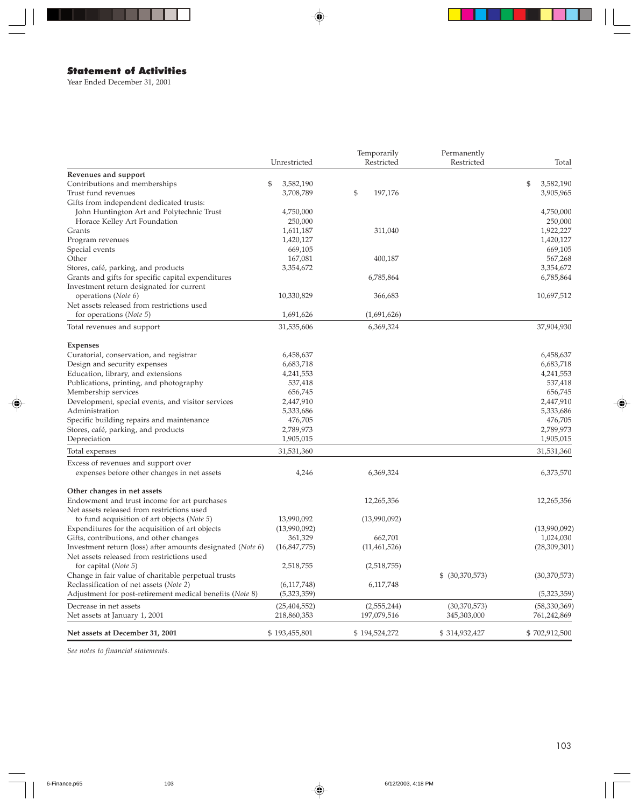# Statement of Activities

Year Ended December 31, 2001

|                                                                                    |                               | Temporarily                  | Permanently                   |                               |
|------------------------------------------------------------------------------------|-------------------------------|------------------------------|-------------------------------|-------------------------------|
|                                                                                    | Unrestricted                  | Restricted                   | Restricted                    | Total                         |
| Revenues and support                                                               |                               |                              |                               |                               |
| Contributions and memberships                                                      | \$<br>3,582,190               |                              |                               | \$<br>3,582,190               |
| Trust fund revenues                                                                | 3,708,789                     | \$<br>197,176                |                               | 3,905,965                     |
| Gifts from independent dedicated trusts:                                           |                               |                              |                               |                               |
| John Huntington Art and Polytechnic Trust                                          | 4,750,000                     |                              |                               | 4,750,000                     |
| Horace Kelley Art Foundation                                                       | 250,000                       |                              |                               | 250,000                       |
| Grants                                                                             | 1,611,187                     | 311,040                      |                               | 1,922,227                     |
| Program revenues                                                                   | 1,420,127                     |                              |                               | 1,420,127                     |
| Special events                                                                     | 669,105                       |                              |                               | 669,105                       |
| Other                                                                              | 167,081                       | 400,187                      |                               | 567,268                       |
| Stores, café, parking, and products                                                | 3,354,672                     |                              |                               | 3,354,672                     |
| Grants and gifts for specific capital expenditures                                 |                               | 6,785,864                    |                               | 6,785,864                     |
| Investment return designated for current                                           |                               |                              |                               |                               |
| operations (Note 6)                                                                | 10,330,829                    | 366,683                      |                               | 10,697,512                    |
| Net assets released from restrictions used                                         |                               |                              |                               |                               |
| for operations ( <i>Note</i> 5)                                                    | 1,691,626                     | (1,691,626)                  |                               |                               |
| Total revenues and support                                                         | 31,535,606                    | 6,369,324                    |                               | 37,904,930                    |
|                                                                                    |                               |                              |                               |                               |
| <b>Expenses</b>                                                                    |                               |                              |                               |                               |
| Curatorial, conservation, and registrar                                            | 6,458,637                     |                              |                               | 6,458,637                     |
| Design and security expenses                                                       | 6,683,718                     |                              |                               | 6,683,718                     |
| Education, library, and extensions                                                 | 4,241,553                     |                              |                               | 4,241,553                     |
| Publications, printing, and photography                                            | 537,418                       |                              |                               | 537,418                       |
| Membership services                                                                | 656,745                       |                              |                               | 656,745                       |
| Development, special events, and visitor services                                  | 2,447,910                     |                              |                               | 2,447,910                     |
| Administration                                                                     | 5,333,686                     |                              |                               | 5,333,686                     |
| Specific building repairs and maintenance                                          | 476,705                       |                              |                               | 476,705                       |
| Stores, café, parking, and products                                                | 2,789,973                     |                              |                               | 2,789,973                     |
| Depreciation                                                                       | 1,905,015                     |                              |                               | 1,905,015                     |
| Total expenses                                                                     | 31,531,360                    |                              |                               | 31,531,360                    |
|                                                                                    |                               |                              |                               |                               |
| Excess of revenues and support over<br>expenses before other changes in net assets | 4,246                         | 6,369,324                    |                               | 6,373,570                     |
|                                                                                    |                               |                              |                               |                               |
| Other changes in net assets                                                        |                               |                              |                               |                               |
| Endowment and trust income for art purchases                                       |                               | 12,265,356                   |                               | 12,265,356                    |
| Net assets released from restrictions used                                         |                               |                              |                               |                               |
| to fund acquisition of art objects (Note 5)                                        | 13,990,092                    | (13,990,092)                 |                               |                               |
| Expenditures for the acquisition of art objects                                    | (13,990,092)                  |                              |                               | (13,990,092)                  |
| Gifts, contributions, and other changes                                            | 361,329                       | 662,701                      |                               | 1,024,030                     |
| Investment return (loss) after amounts designated (Note 6)                         | (16,847,775)                  | (11, 461, 526)               |                               | (28,309,301)                  |
| Net assets released from restrictions used                                         |                               |                              |                               |                               |
| for capital (Note 5)                                                               | 2,518,755                     | (2,518,755)                  |                               |                               |
| Change in fair value of charitable perpetual trusts                                |                               |                              | \$ (30,370,573)               | (30, 370, 573)                |
| Reclassification of net assets (Note 2)                                            | (6,117,748)                   | 6,117,748                    |                               |                               |
| Adjustment for post-retirement medical benefits (Note 8)                           | (5,323,359)                   |                              |                               | (5,323,359)                   |
|                                                                                    |                               |                              |                               |                               |
| Decrease in net assets<br>Net assets at January 1, 2001                            | (25, 404, 552)<br>218,860,353 | (2, 555, 244)<br>197,079,516 | (30, 370, 573)<br>345,303,000 | (58, 330, 369)<br>761,242,869 |
|                                                                                    |                               |                              |                               |                               |
| Net assets at December 31, 2001                                                    | \$193,455,801                 | \$194,524,272                | \$314,932,427                 | \$702,912,500                 |

 $\bigoplus$ 

*See notes to financial statements.*

◈

 $\overline{\phantom{0}}$ 

♠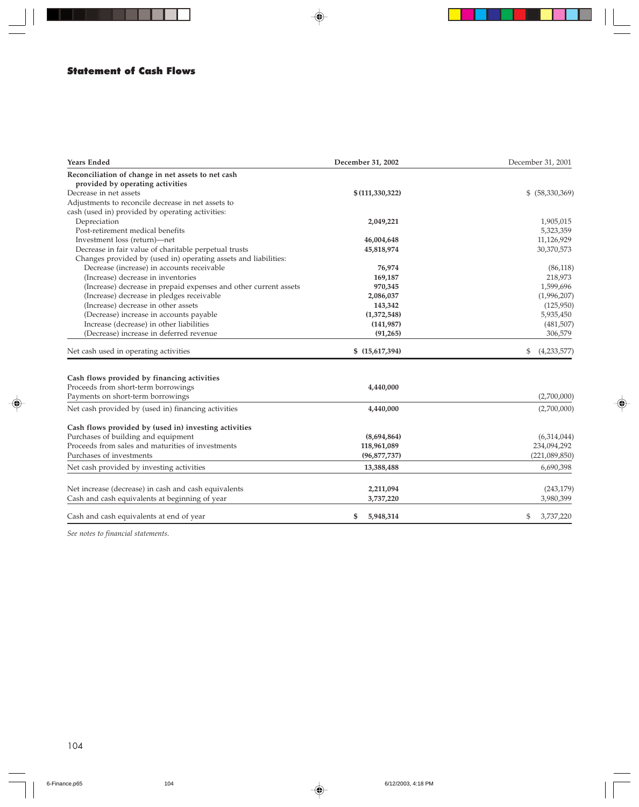### Statement of Cash Flows

| <b>Years Ended</b>                                               | December 31, 2002 | December 31, 2001 |
|------------------------------------------------------------------|-------------------|-------------------|
| Reconciliation of change in net assets to net cash               |                   |                   |
| provided by operating activities                                 |                   |                   |
| Decrease in net assets                                           | \$(111, 330, 322) | \$ (58,330,369)   |
| Adjustments to reconcile decrease in net assets to               |                   |                   |
| cash (used in) provided by operating activities:                 |                   |                   |
| Depreciation                                                     | 2,049,221         | 1,905,015         |
| Post-retirement medical benefits                                 |                   | 5,323,359         |
| Investment loss (return)-net                                     | 46,004,648        | 11,126,929        |
| Decrease in fair value of charitable perpetual trusts            | 45,818,974        | 30,370,573        |
| Changes provided by (used in) operating assets and liabilities:  |                   |                   |
| Decrease (increase) in accounts receivable                       | 76,974            | (86, 118)         |
| (Increase) decrease in inventories                               | 169,187           | 218,973           |
| (Increase) decrease in prepaid expenses and other current assets | 970,345           | 1,599,696         |
| (Increase) decrease in pledges receivable                        | 2,086,037         | (1,996,207)       |
| (Increase) decrease in other assets                              | 143,342           | (125,950)         |
| (Decrease) increase in accounts payable                          | (1,372,548)       | 5,935,450         |
| Increase (decrease) in other liabilities                         | (141, 987)        | (481, 507)        |
| (Decrease) increase in deferred revenue                          | (91, 265)         | 306,579           |
| Net cash used in operating activities                            | \$(15,617,394)    | (4,233,577)<br>\$ |
|                                                                  |                   |                   |
| Cash flows provided by financing activities                      |                   |                   |
| Proceeds from short-term borrowings                              | 4,440,000         |                   |
| Payments on short-term borrowings                                |                   | (2,700,000)       |
| Net cash provided by (used in) financing activities              | 4,440,000         | (2,700,000)       |
| Cash flows provided by (used in) investing activities            |                   |                   |
| Purchases of building and equipment                              | (8,694,864)       | (6,314,044)       |
| Proceeds from sales and maturities of investments                | 118,961,089       | 234,094,292       |
| Purchases of investments                                         | (96, 877, 737)    | (221,089,850)     |
| Net cash provided by investing activities                        | 13,388,488        | 6,690,398         |
| Net increase (decrease) in cash and cash equivalents             | 2,211,094         | (243, 179)        |
| Cash and cash equivalents at beginning of year                   | 3,737,220         | 3,980,399         |
|                                                                  |                   |                   |
| Cash and cash equivalents at end of year                         | 5,948,314<br>\$   | \$<br>3,737,220   |

◈

*See notes to financial statements.*

⊕

♠

 $\overline{\phantom{0}}$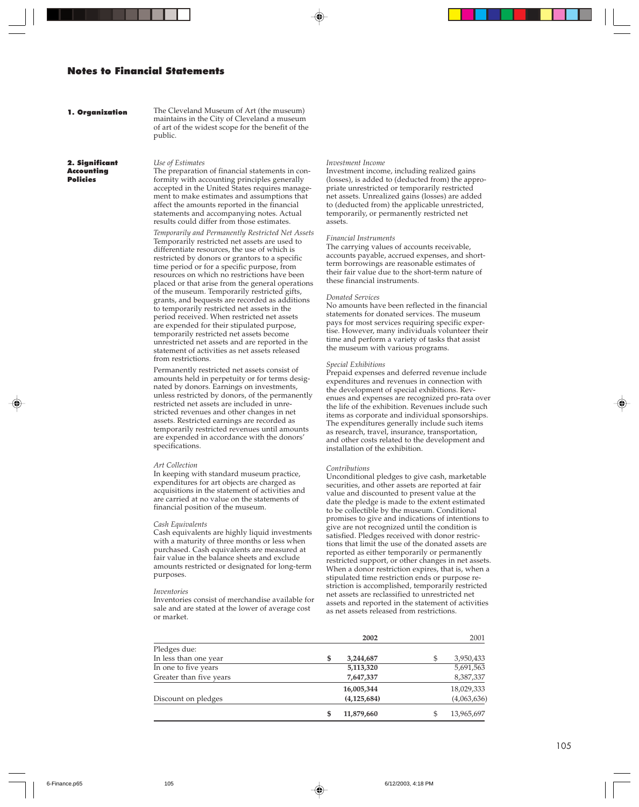### Notes to Financial Statements

#### 1. Organization

The Cleveland Museum of Art (the museum) maintains in the City of Cleveland a museum of art of the widest scope for the benefit of the public.

2. Significant Accounting Policies

*Use of Estimates* The preparation of financial statements in conformity with accounting principles generally accepted in the United States requires management to make estimates and assumptions that affect the amounts reported in the financial statements and accompanying notes. Actual results could differ from those estimates.

*Temporarily and Permanently Restricted Net Assets* Temporarily restricted net assets are used to differentiate resources, the use of which is restricted by donors or grantors to a specific time period or for a specific purpose, from resources on which no restrictions have been placed or that arise from the general operations of the museum. Temporarily restricted gifts, grants, and bequests are recorded as additions to temporarily restricted net assets in the period received. When restricted net assets are expended for their stipulated purpose, temporarily restricted net assets become unrestricted net assets and are reported in the statement of activities as net assets released from restrictions.

Permanently restricted net assets consist of amounts held in perpetuity or for terms designated by donors. Earnings on investments, unless restricted by donors, of the permanently restricted net assets are included in unrestricted revenues and other changes in net assets. Restricted earnings are recorded as temporarily restricted revenues until amounts are expended in accordance with the donors' specifications.

#### *Art Collection*

In keeping with standard museum practice, expenditures for art objects are charged as acquisitions in the statement of activities and are carried at no value on the statements of financial position of the museum.

#### *Cash Equivalents*

Cash equivalents are highly liquid investments with a maturity of three months or less when purchased. Cash equivalents are measured at fair value in the balance sheets and exclude amounts restricted or designated for long-term purposes.

#### *Inventories*

Inventories consist of merchandise available for sale and are stated at the lower of average cost or market.

#### *Investment Income*

Investment income, including realized gains (losses), is added to (deducted from) the appropriate unrestricted or temporarily restricted net assets. Unrealized gains (losses) are added to (deducted from) the applicable unrestricted, temporarily, or permanently restricted net assets.

#### *Financial Instruments*

The carrying values of accounts receivable, accounts payable, accrued expenses, and shortterm borrowings are reasonable estimates of their fair value due to the short-term nature of these financial instruments.

#### *Donated Services*

No amounts have been reflected in the financial statements for donated services. The museum pays for most services requiring specific expertise. However, many individuals volunteer their time and perform a variety of tasks that assist the museum with various programs.

#### *Special Exhibitions*

Prepaid expenses and deferred revenue include expenditures and revenues in connection with the development of special exhibitions. Revenues and expenses are recognized pro-rata over the life of the exhibition. Revenues include such items as corporate and individual sponsorships. The expenditures generally include such items as research, travel, insurance, transportation, and other costs related to the development and installation of the exhibition.

#### *Contributions*

Unconditional pledges to give cash, marketable securities, and other assets are reported at fair value and discounted to present value at the date the pledge is made to the extent estimated to be collectible by the museum. Conditional promises to give and indications of intentions to give are not recognized until the condition is satisfied. Pledges received with donor restrictions that limit the use of the donated assets are reported as either temporarily or permanently restricted support, or other changes in net assets. When a donor restriction expires, that is, when a stipulated time restriction ends or purpose restriction is accomplished, temporarily restricted net assets are reclassified to unrestricted net assets and reported in the statement of activities as net assets released from restrictions.

|                         | 2002            |     | 2001        |
|-------------------------|-----------------|-----|-------------|
| Pledges due:            |                 |     |             |
| In less than one year   | \$<br>3,244,687 | \$  | 3,950,433   |
| In one to five years    | 5,113,320       |     | 5,691,563   |
| Greater than five years | 7,647,337       |     | 8,387,337   |
|                         | 16,005,344      |     | 18,029,333  |
| Discount on pledges     | (4, 125, 684)   |     | (4,063,636) |
|                         | 11,879,660      | \$. | 13,965,697  |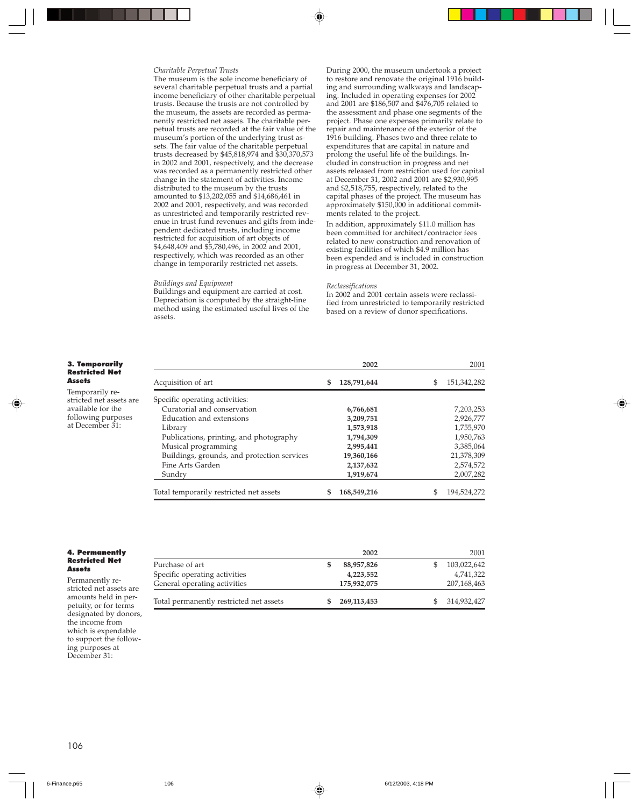#### *Charitable Perpetual Trusts*

The museum is the sole income beneficiary of several charitable perpetual trusts and a partial income beneficiary of other charitable perpetual trusts. Because the trusts are not controlled by the museum, the assets are recorded as permanently restricted net assets. The charitable perpetual trusts are recorded at the fair value of the museum's portion of the underlying trust assets. The fair value of the charitable perpetual trusts decreased by \$45,818,974 and \$30,370,573 in 2002 and 2001, respectively, and the decrease was recorded as a permanently restricted other change in the statement of activities. Income distributed to the museum by the trusts amounted to \$13,202,055 and \$14,686,461 in 2002 and 2001, respectively, and was recorded as unrestricted and temporarily restricted revenue in trust fund revenues and gifts from independent dedicated trusts, including income restricted for acquisition of art objects of \$4,648,409 and \$5,780,496, in 2002 and 2001, respectively, which was recorded as an other change in temporarily restricted net assets.

#### *Buildings and Equipment*

Buildings and equipment are carried at cost. Depreciation is computed by the straight-line method using the estimated useful lives of the assets.

During 2000, the museum undertook a project to restore and renovate the original 1916 building and surrounding walkways and landscaping. Included in operating expenses for 2002 and 2001 are \$186,507 and \$476,705 related to the assessment and phase one segments of the project. Phase one expenses primarily relate to repair and maintenance of the exterior of the 1916 building. Phases two and three relate to expenditures that are capital in nature and prolong the useful life of the buildings. Included in construction in progress and net assets released from restriction used for capital at December 31, 2002 and 2001 are \$2,930,995 and \$2,518,755, respectively, related to the capital phases of the project. The museum has approximately \$150,000 in additional commitments related to the project.

In addition, approximately \$11.0 million has been committed for architect/contractor fees related to new construction and renovation of existing facilities of which \$4.9 million has been expended and is included in construction in progress at December 31, 2002.

#### *Reclassifications*

In 2002 and 2001 certain assets were reclassified from unrestricted to temporarily restricted based on a review of donor specifications.

**2002** 2001

| 3. Temporarily        |  |
|-----------------------|--|
| <b>Restricted Net</b> |  |
| Assets                |  |

Temporarily restricted net assets are available for the following purposes at December 31:

| Acquisition of art                          | \$<br>128,791,644 | S | 151,342,282 |
|---------------------------------------------|-------------------|---|-------------|
| Specific operating activities:              |                   |   |             |
| Curatorial and conservation                 | 6,766,681         |   | 7,203,253   |
| Education and extensions                    | 3,209,751         |   | 2,926,777   |
| Library                                     | 1,573,918         |   | 1,755,970   |
| Publications, printing, and photography     | 1,794,309         |   | 1,950,763   |
| Musical programming                         | 2,995,441         |   | 3,385,064   |
| Buildings, grounds, and protection services | 19,360,166        |   | 21,378,309  |
| Fine Arts Garden                            | 2,137,632         |   | 2,574,572   |
| Sundry                                      | 1,919,674         |   | 2,007,282   |
| Total temporarily restricted net assets     | 168,549,216       |   | 194.524.272 |

#### 4. Permanently Restricted Net **Assets**

Permanently restricted net assets are amounts held in perpetuity, or for terms designated by donors, the income from which is expendable to support the following purposes at December 31:

|                                         | 2002        | 2001        |
|-----------------------------------------|-------------|-------------|
| Purchase of art                         | 88,957,826  | 103,022,642 |
| Specific operating activities           | 4,223,552   | 4,741,322   |
| General operating activities            | 175,932,075 | 207,168,463 |
| Total permanently restricted net assets | 269,113,453 | 314,932,427 |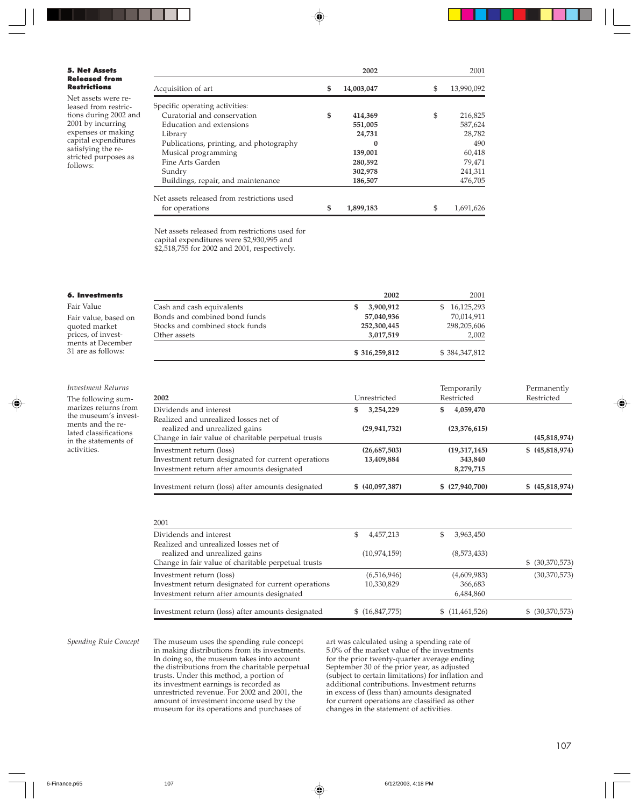#### 5. Net Assets Released from Restrictions

Net assets were released from restrictions during 2002 and 2001 by incurring expenses or making capital expenditures satisfying the restricted purposes as follows:

|                                            | 2002             | 2001             |
|--------------------------------------------|------------------|------------------|
| Acquisition of art                         | \$<br>14,003,047 | \$<br>13,990,092 |
| Specific operating activities:             |                  |                  |
| Curatorial and conservation                | \$<br>414,369    | \$<br>216,825    |
| Education and extensions                   | 551,005          | 587,624          |
| Library                                    | 24,731           | 28,782           |
| Publications, printing, and photography    | $\bf{0}$         | 490              |
| Musical programming                        | 139,001          | 60,418           |
| Fine Arts Garden                           | 280,592          | 79,471           |
| Sundry                                     | 302,978          | 241,311          |
| Buildings, repair, and maintenance         | 186,507          | 476,705          |
| Net assets released from restrictions used |                  |                  |
| for operations                             | \$<br>1,899,183  | \$<br>1,691,626  |

Net assets released from restrictions used for capital expenditures were \$2,930,995 and \$2,518,755 for 2002 and 2001, respectively.

#### 6. Investments

Fair Value Fair value, based on quoted market prices, of investments at December 31 are as follows:

#### *Investment Returns*

The following summarizes returns from the museum's investments and the related classifications in the statements of activities.

|                                 | \$316,259,812  | \$384,347,812   |
|---------------------------------|----------------|-----------------|
| Other assets                    | 3,017,519      | 2,002           |
| Stocks and combined stock funds | 252,300,445    | 298,205,606     |
| Bonds and combined bond funds   | 57,040,936     | 70,014,911      |
| Cash and cash equivalents       | 3,900,912<br>S | 16,125,293<br>S |
|                                 | 2002           | 2001            |
|                                 |                |                 |

| 2002                                                | Unrestricted    | Temporarily<br>Restricted | Permanently<br>Restricted |
|-----------------------------------------------------|-----------------|---------------------------|---------------------------|
| Dividends and interest                              | 3,254,229<br>S  | 4,059,470<br>S            |                           |
| Realized and unrealized losses net of               |                 |                           |                           |
| realized and unrealized gains                       | (29, 941, 732)  | (23,376,615)              |                           |
| Change in fair value of charitable perpetual trusts |                 |                           | (45,818,974)              |
| Investment return (loss)                            | (26,687,503)    | (19,317,145)              | \$(45,818,974)            |
| Investment return designated for current operations | 13,409,884      | 343,840                   |                           |
| Investment return after amounts designated          |                 | 8,279,715                 |                           |
| Investment return (loss) after amounts designated   | \$ (40,097,387) | \$(27,940,700)            | \$ (45,818,974)           |

| 2001                                                |                |                |                 |
|-----------------------------------------------------|----------------|----------------|-----------------|
| Dividends and interest                              | 4,457,213<br>S | 3,963,450      |                 |
| Realized and unrealized losses net of               |                |                |                 |
| realized and unrealized gains                       | (10,974,159)   | (8,573,433)    |                 |
| Change in fair value of charitable perpetual trusts |                |                | \$ (30,370,573) |
| Investment return (loss)                            | (6,516,946)    | (4,609,983)    | (30,370,573)    |
| Investment return designated for current operations | 10,330,829     | 366,683        |                 |
| Investment return after amounts designated          |                | 6,484,860      |                 |
| Investment return (loss) after amounts designated   | \$(16,847,775) | \$(11,461,526) | \$ (30,370,573) |

*Spending Rule Concept* The museum uses the spending rule concept in making distributions from its investments. In doing so, the museum takes into account the distributions from the charitable perpetual trusts. Under this method, a portion of its investment earnings is recorded as unrestricted revenue. For 2002 and 2001, the amount of investment income used by the museum for its operations and purchases of

art was calculated using a spending rate of 5.0% of the market value of the investments for the prior twenty-quarter average ending September 30 of the prior year, as adjusted (subject to certain limitations) for inflation and additional contributions. Investment returns in excess of (less than) amounts designated for current operations are classified as other changes in the statement of activities.